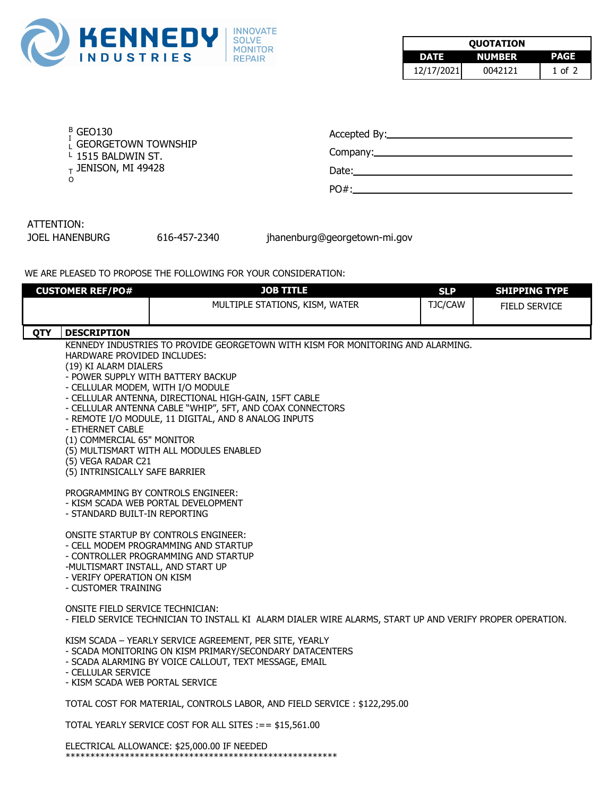

| <b>OUOTATION</b> |               |          |  |
|------------------|---------------|----------|--|
| DATE             | <b>NUMBER</b> | PAGE     |  |
| 12/17/2021       | 0042121       | 1 of $2$ |  |

| $-01$<br>г |
|------------|
|            |

- $I_{\rm L}^{\rm I}$  Georgetown township L
- L 1515 BALDWIN ST.
- $_{\rm T}$  Jenison, MI 49428  $\,$
- O

| Accepted By: |  |  |
|--------------|--|--|
|              |  |  |

Company:

Date:

PO#:

## ATTENTION:

JOEL HANENBURG 616-457-2340 jhanenburg@georgetown-mi.gov

WE ARE PLEASED TO PROPOSE THE FOLLOWING FOR YOUR CONSIDERATION:

|            | <b>CUSTOMER REF/PO#</b>                                         | <b>JOB TITLE</b>                                                                                         | <b>SLP</b> | <b>SHIPPING TYPE</b> |  |
|------------|-----------------------------------------------------------------|----------------------------------------------------------------------------------------------------------|------------|----------------------|--|
|            |                                                                 | MULTIPLE STATIONS, KISM, WATER                                                                           | TJC/CAW    | <b>FIELD SERVICE</b> |  |
|            |                                                                 |                                                                                                          |            |                      |  |
| <b>QTY</b> | <b>DESCRIPTION</b>                                              |                                                                                                          |            |                      |  |
|            |                                                                 | KENNEDY INDUSTRIES TO PROVIDE GEORGETOWN WITH KISM FOR MONITORING AND ALARMING.                          |            |                      |  |
|            | HARDWARE PROVIDED INCLUDES:                                     |                                                                                                          |            |                      |  |
|            | (19) KI ALARM DIALERS<br>- POWER SUPPLY WITH BATTERY BACKUP     |                                                                                                          |            |                      |  |
|            | - CELLULAR MODEM, WITH I/O MODULE                               |                                                                                                          |            |                      |  |
|            | - CELLULAR ANTENNA, DIRECTIONAL HIGH-GAIN, 15FT CABLE           |                                                                                                          |            |                      |  |
|            | - CELLULAR ANTENNA CABLE "WHIP", 5FT, AND COAX CONNECTORS       |                                                                                                          |            |                      |  |
|            | - REMOTE I/O MODULE, 11 DIGITAL, AND 8 ANALOG INPUTS            |                                                                                                          |            |                      |  |
|            | - ETHERNET CABLE<br>(1) COMMERCIAL 65" MONITOR                  |                                                                                                          |            |                      |  |
|            |                                                                 | (5) MULTISMART WITH ALL MODULES ENABLED                                                                  |            |                      |  |
|            | (5) VEGA RADAR C21                                              |                                                                                                          |            |                      |  |
|            | (5) INTRINSICALLY SAFE BARRIER                                  |                                                                                                          |            |                      |  |
|            |                                                                 | PROGRAMMING BY CONTROLS ENGINEER:                                                                        |            |                      |  |
|            |                                                                 | - KISM SCADA WEB PORTAL DEVELOPMENT                                                                      |            |                      |  |
|            | - STANDARD BUILT-IN REPORTING                                   |                                                                                                          |            |                      |  |
|            |                                                                 | <b>ONSITE STARTUP BY CONTROLS ENGINEER:</b>                                                              |            |                      |  |
|            |                                                                 | - CELL MODEM PROGRAMMING AND STARTUP                                                                     |            |                      |  |
|            |                                                                 | - CONTROLLER PROGRAMMING AND STARTUP                                                                     |            |                      |  |
|            | -MULTISMART INSTALL, AND START UP<br>- VERIFY OPERATION ON KISM |                                                                                                          |            |                      |  |
|            | - CUSTOMER TRAINING                                             |                                                                                                          |            |                      |  |
|            |                                                                 |                                                                                                          |            |                      |  |
|            | ONSITE FIELD SERVICE TECHNICIAN:                                |                                                                                                          |            |                      |  |
|            |                                                                 | - FIELD SERVICE TECHNICIAN TO INSTALL KI ALARM DIALER WIRE ALARMS, START UP AND VERIFY PROPER OPERATION. |            |                      |  |
|            |                                                                 | KISM SCADA - YEARLY SERVICE AGREEMENT, PER SITE, YEARLY                                                  |            |                      |  |
|            |                                                                 | - SCADA MONITORING ON KISM PRIMARY/SECONDARY DATACENTERS                                                 |            |                      |  |
|            |                                                                 | - SCADA ALARMING BY VOICE CALLOUT, TEXT MESSAGE, EMAIL                                                   |            |                      |  |
|            | - CELLULAR SERVICE<br>- KISM SCADA WEB PORTAL SERVICE           |                                                                                                          |            |                      |  |
|            |                                                                 |                                                                                                          |            |                      |  |
|            |                                                                 | TOTAL COST FOR MATERIAL, CONTROLS LABOR, AND FIELD SERVICE: \$122,295.00                                 |            |                      |  |
|            |                                                                 | TOTAL YEARLY SERVICE COST FOR ALL SITES :== \$15,561.00                                                  |            |                      |  |
|            |                                                                 | ELECTRICAL ALLOWANCE: \$25,000.00 IF NEEDED                                                              |            |                      |  |